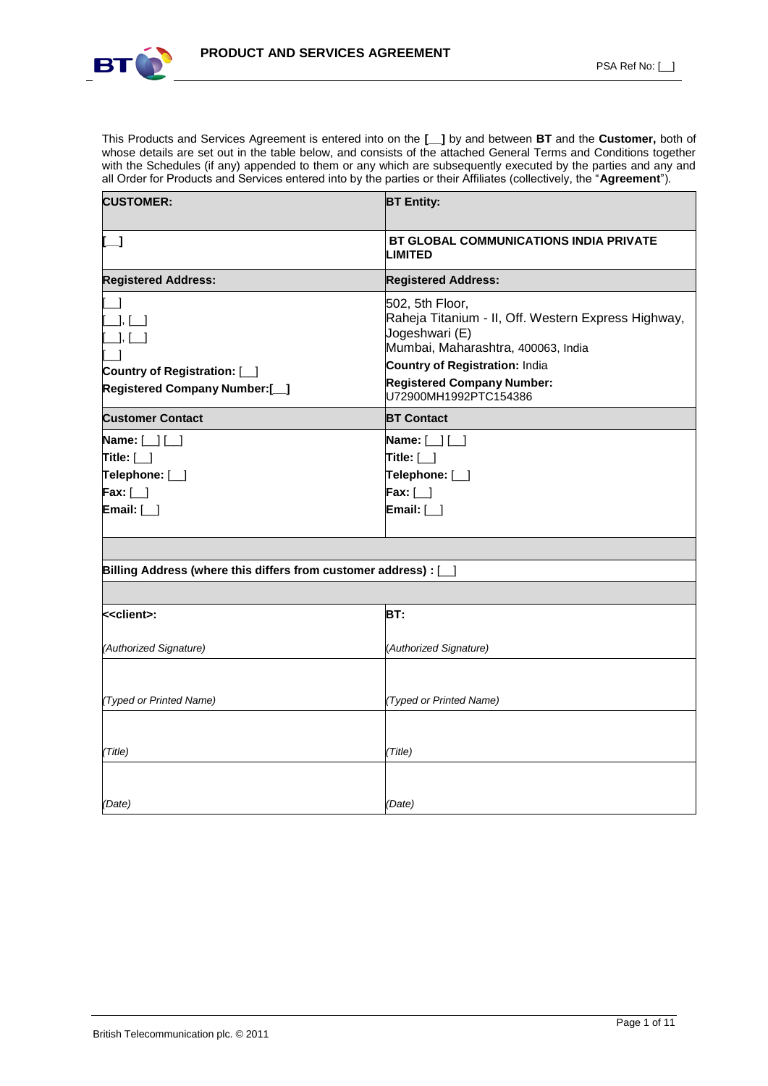

This Products and Services Agreement is entered into on the **[\_\_]** by and between **BT** and the **Customer,** both of whose details are set out in the table below, and consists of the attached General Terms and Conditions together with the Schedules (if any) appended to them or any which are subsequently executed by the parties and any and all Order for Products and Services entered into by the parties or their Affiliates (collectively, the "**Agreement**").

| <b>CUSTOMER:</b>                                                                                                   | <b>BT Entity:</b>                                                                                                                                                                                                                     |
|--------------------------------------------------------------------------------------------------------------------|---------------------------------------------------------------------------------------------------------------------------------------------------------------------------------------------------------------------------------------|
| $\mathsf{L}$ 1                                                                                                     | <b>BT GLOBAL COMMUNICATIONS INDIA PRIVATE</b><br><b>LIMITED</b>                                                                                                                                                                       |
| <b>Registered Address:</b>                                                                                         | <b>Registered Address:</b>                                                                                                                                                                                                            |
| $\Box$ , $\Box$<br>$[\_\_\right], [\_\_\]$<br>Country of Registration: [_]<br><b>Registered Company Number:[_]</b> | 502, 5th Floor,<br>Raheja Titanium - II, Off. Western Express Highway,<br>Jogeshwari (E)<br>Mumbai, Maharashtra, 400063, India<br><b>Country of Registration: India</b><br><b>Registered Company Number:</b><br>U72900MH1992PTC154386 |
| <b>Customer Contact</b>                                                                                            | <b>BT Contact</b>                                                                                                                                                                                                                     |
| Name: $[\ ] [\ ]$<br>Title: $[\_]$<br>Telephone: [_]<br>$\mathsf{Fax:}$ [_]<br>Email: $[\ ]$                       | Name: $[\ ] [\ ]$<br>Title: $[\ ]$<br>Telephone: [ <i>_</i> ]<br>$Fix:$ [_]<br>Email: $[\ ]$                                                                                                                                          |
| Billing Address (where this differs from customer address) : [                                                     |                                                                                                                                                                                                                                       |
|                                                                                                                    |                                                                                                                                                                                                                                       |
| < <client>:</client>                                                                                               | BT:                                                                                                                                                                                                                                   |
| (Authorized Signature)                                                                                             | (Authorized Signature)                                                                                                                                                                                                                |
| (Typed or Printed Name)                                                                                            | (Typed or Printed Name)                                                                                                                                                                                                               |
| (Title)                                                                                                            | (Title)                                                                                                                                                                                                                               |
| (Date)                                                                                                             | (Date)                                                                                                                                                                                                                                |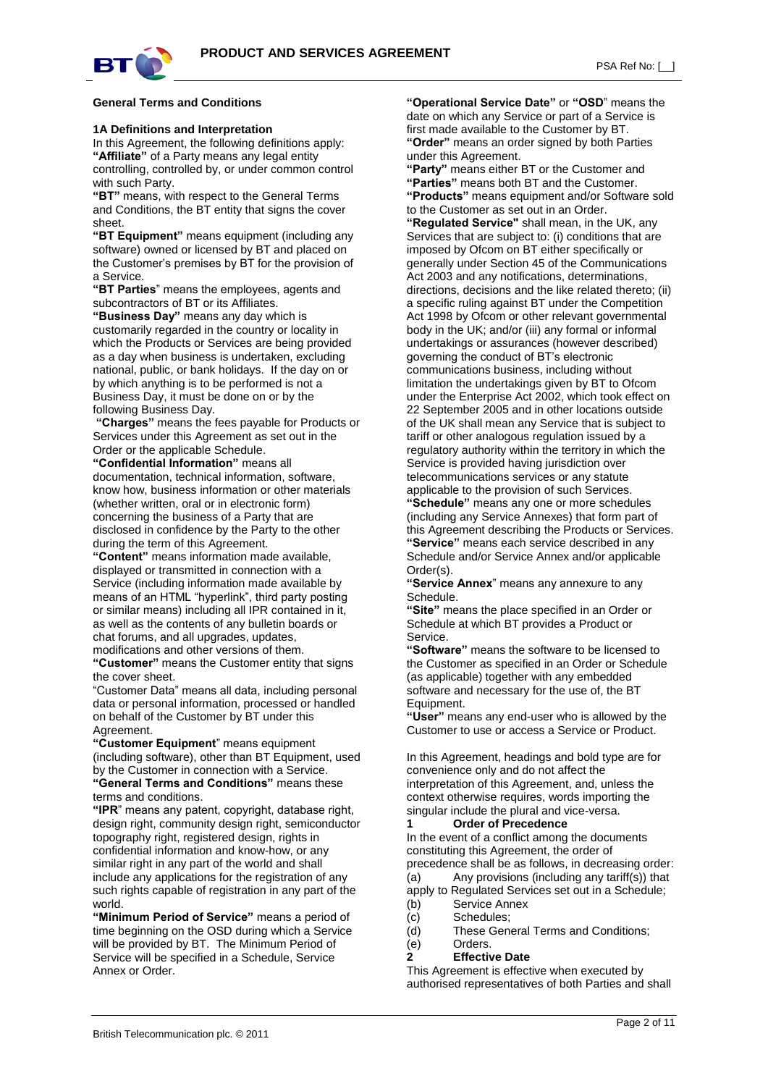

#### **General Terms and Conditions**

#### **1A Definitions and Interpretation**

In this Agreement, the following definitions apply: **"Affiliate"** of a Party means any legal entity controlling, controlled by, or under common control

with such Party. **"BT"** means, with respect to the General Terms and Conditions, the BT entity that signs the cover sheet.

**"BT Equipment"** means equipment (including any software) owned or licensed by BT and placed on the Customer's premises by BT for the provision of a Service.

**"BT Parties**" means the employees, agents and subcontractors of BT or its Affiliates.

**"Business Day"** means any day which is customarily regarded in the country or locality in which the Products or Services are being provided as a day when business is undertaken, excluding national, public, or bank holidays. If the day on or by which anything is to be performed is not a Business Day, it must be done on or by the following Business Day.

**"Charges"** means the fees payable for Products or Services under this Agreement as set out in the Order or the applicable Schedule.

**"Confidential Information"** means all documentation, technical information, software, know how, business information or other materials (whether written, oral or in electronic form) concerning the business of a Party that are disclosed in confidence by the Party to the other during the term of this Agreement.

**"Content"** means information made available, displayed or transmitted in connection with a Service (including information made available by means of an HTML "hyperlink", third party posting or similar means) including all IPR contained in it, as well as the contents of any bulletin boards or chat forums, and all upgrades, updates, modifications and other versions of them.

**"Customer"** means the Customer entity that signs the cover sheet.

"Customer Data" means all data, including personal data or personal information, processed or handled on behalf of the Customer by BT under this Agreement.

**"Customer Equipment**" means equipment (including software), other than BT Equipment, used by the Customer in connection with a Service. **"General Terms and Conditions"** means these terms and conditions.

**"IPR**" means any patent, copyright, database right, design right, community design right, semiconductor topography right, registered design, rights in confidential information and know-how, or any similar right in any part of the world and shall include any applications for the registration of any such rights capable of registration in any part of the world.

**"Minimum Period of Service"** means a period of time beginning on the OSD during which a Service will be provided by BT. The Minimum Period of Service will be specified in a Schedule, Service Annex or Order.

**"Operational Service Date"** or **"OSD**" means the date on which any Service or part of a Service is first made available to the Customer by BT. **"Order"** means an order signed by both Parties under this Agreement.

**"Party"** means either BT or the Customer and **"Parties"** means both BT and the Customer. **"Products"** means equipment and/or Software sold to the Customer as set out in an Order.

**"Regulated Service"** shall mean, in the UK, any Services that are subject to: (i) conditions that are imposed by Ofcom on BT either specifically or generally under Section 45 of the Communications Act 2003 and any notifications, determinations, directions, decisions and the like related thereto; (ii) a specific ruling against BT under the Competition Act 1998 by Ofcom or other relevant governmental body in the UK; and/or (iii) any formal or informal undertakings or assurances (however described) governing the conduct of BT's electronic communications business, including without limitation the undertakings given by BT to Ofcom under the Enterprise Act 2002, which took effect on 22 September 2005 and in other locations outside of the UK shall mean any Service that is subject to tariff or other analogous regulation issued by a regulatory authority within the territory in which the Service is provided having jurisdiction over telecommunications services or any statute applicable to the provision of such Services. **"Schedule"** means any one or more schedules

(including any Service Annexes) that form part of this Agreement describing the Products or Services. **"Service"** means each service described in any Schedule and/or Service Annex and/or applicable Order(s).

**"Service Annex**" means any annexure to any Schedule.

**"Site"** means the place specified in an Order or Schedule at which BT provides a Product or Service.

**"Software"** means the software to be licensed to the Customer as specified in an Order or Schedule (as applicable) together with any embedded software and necessary for the use of, the BT Equipment.

**"User"** means any end-user who is allowed by the Customer to use or access a Service or Product.

In this Agreement, headings and bold type are for convenience only and do not affect the interpretation of this Agreement, and, unless the context otherwise requires, words importing the singular include the plural and vice-versa.

## **1 Order of Precedence**

In the event of a conflict among the documents constituting this Agreement, the order of precedence shall be as follows, in decreasing order:

 $(a)$  Any provisions (including any tariff(s)) that apply to Regulated Services set out in a Schedule;

- (b) Service Annex
- (c) Schedules;
- (d) These General Terms and Conditions;
- (e) Orders.
- **2 Effective Date**

This Agreement is effective when executed by authorised representatives of both Parties and shall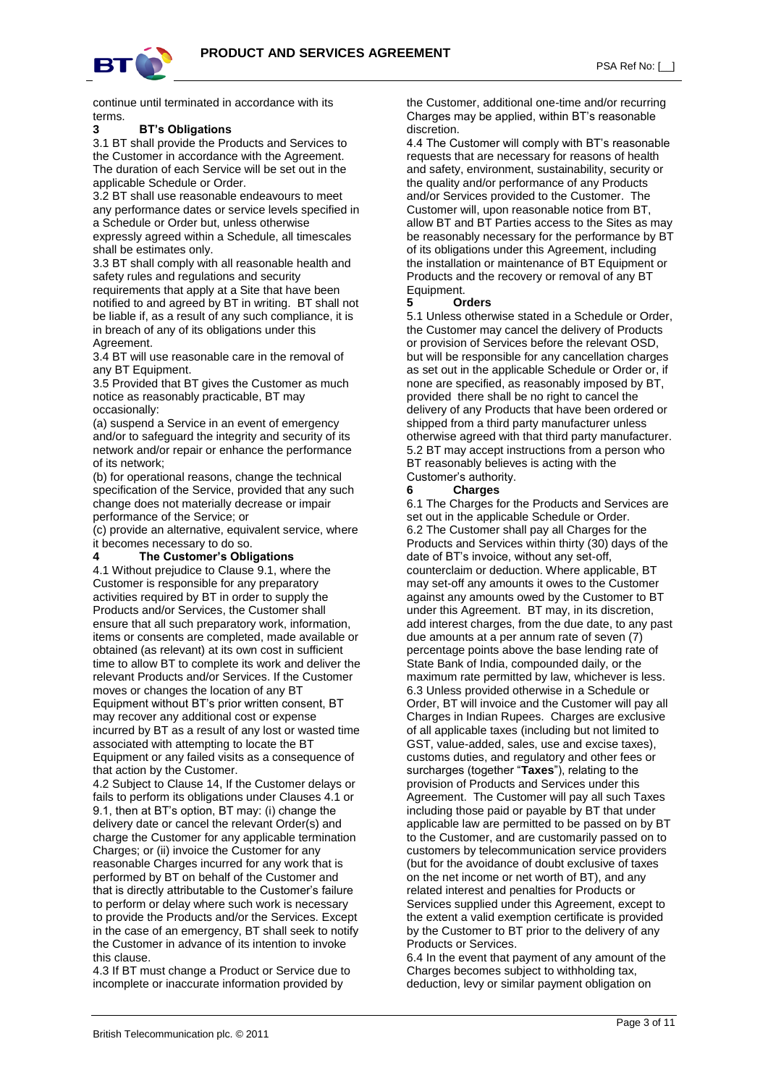

continue until terminated in accordance with its terms.

#### **3 BT's Obligations**

3.1 BT shall provide the Products and Services to the Customer in accordance with the Agreement. The duration of each Service will be set out in the applicable Schedule or Order.

3.2 BT shall use reasonable endeavours to meet any performance dates or service levels specified in a Schedule or Order but, unless otherwise expressly agreed within a Schedule, all timescales

shall be estimates only. 3.3 BT shall comply with all reasonable health and safety rules and regulations and security requirements that apply at a Site that have been notified to and agreed by BT in writing. BT shall not be liable if, as a result of any such compliance, it is in breach of any of its obligations under this Agreement.

3.4 BT will use reasonable care in the removal of any BT Equipment.

3.5 Provided that BT gives the Customer as much notice as reasonably practicable, BT may occasionally:

(a) suspend a Service in an event of emergency and/or to safeguard the integrity and security of its network and/or repair or enhance the performance of its network;

(b) for operational reasons, change the technical specification of the Service, provided that any such change does not materially decrease or impair performance of the Service; or

(c) provide an alternative, equivalent service, where it becomes necessary to do so.

#### **4 The Customer's Obligations**

4.1 Without prejudice to Clause 9.1, where the Customer is responsible for any preparatory activities required by BT in order to supply the Products and/or Services, the Customer shall ensure that all such preparatory work, information, items or consents are completed, made available or obtained (as relevant) at its own cost in sufficient time to allow BT to complete its work and deliver the relevant Products and/or Services. If the Customer moves or changes the location of any BT Equipment without BT's prior written consent, BT may recover any additional cost or expense incurred by BT as a result of any lost or wasted time associated with attempting to locate the BT Equipment or any failed visits as a consequence of that action by the Customer.

4.2 Subject to Clause 14, If the Customer delays or fails to perform its obligations under Clauses 4.1 or 9.1, then at BT's option, BT may: (i) change the delivery date or cancel the relevant Order(s) and charge the Customer for any applicable termination Charges; or (ii) invoice the Customer for any reasonable Charges incurred for any work that is performed by BT on behalf of the Customer and that is directly attributable to the Customer's failure to perform or delay where such work is necessary to provide the Products and/or the Services. Except in the case of an emergency, BT shall seek to notify the Customer in advance of its intention to invoke this clause.

4.3 If BT must change a Product or Service due to incomplete or inaccurate information provided by

the Customer, additional one-time and/or recurring Charges may be applied, within BT's reasonable discretion.

4.4 The Customer will comply with BT's reasonable requests that are necessary for reasons of health and safety, environment, sustainability, security or the quality and/or performance of any Products and/or Services provided to the Customer. The Customer will, upon reasonable notice from BT, allow BT and BT Parties access to the Sites as may be reasonably necessary for the performance by BT of its obligations under this Agreement, including the installation or maintenance of BT Equipment or Products and the recovery or removal of any BT Equipment.

#### **5 Orders**

5.1 Unless otherwise stated in a Schedule or Order, the Customer may cancel the delivery of Products or provision of Services before the relevant OSD, but will be responsible for any cancellation charges as set out in the applicable Schedule or Order or, if none are specified, as reasonably imposed by BT, provided there shall be no right to cancel the delivery of any Products that have been ordered or shipped from a third party manufacturer unless otherwise agreed with that third party manufacturer. 5.2 BT may accept instructions from a person who BT reasonably believes is acting with the Customer's authority.

# **6 Charges**

6.1 The Charges for the Products and Services are set out in the applicable Schedule or Order. 6.2 The Customer shall pay all Charges for the Products and Services within thirty (30) days of the date of BT's invoice, without any set-off, counterclaim or deduction. Where applicable, BT may set-off any amounts it owes to the Customer against any amounts owed by the Customer to BT under this Agreement. BT may, in its discretion, add interest charges, from the due date, to any past due amounts at a per annum rate of seven (7) percentage points above the base lending rate of State Bank of India, compounded daily, or the maximum rate permitted by law, whichever is less. 6.3 Unless provided otherwise in a Schedule or Order, BT will invoice and the Customer will pay all Charges in Indian Rupees. Charges are exclusive of all applicable taxes (including but not limited to GST, value-added, sales, use and excise taxes), customs duties, and regulatory and other fees or surcharges (together "**Taxes**"), relating to the provision of Products and Services under this Agreement. The Customer will pay all such Taxes including those paid or payable by BT that under applicable law are permitted to be passed on by BT to the Customer, and are customarily passed on to customers by telecommunication service providers (but for the avoidance of doubt exclusive of taxes on the net income or net worth of BT), and any related interest and penalties for Products or Services supplied under this Agreement, except to the extent a valid exemption certificate is provided by the Customer to BT prior to the delivery of any Products or Services.

6.4 In the event that payment of any amount of the Charges becomes subject to withholding tax, deduction, levy or similar payment obligation on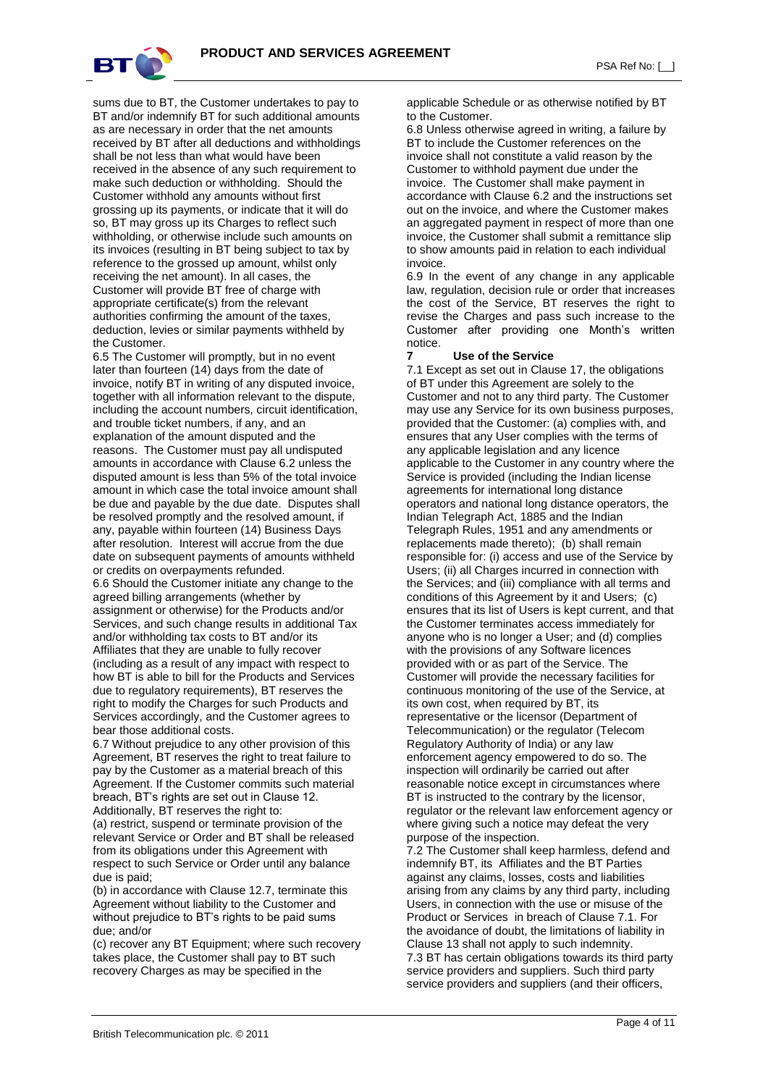

PSA Ref No: [ \_]

sums due to BT, the Customer undertakes to pay to BT and/or indemnify BT for such additional amounts as are necessary in order that the net amounts received by BT after all deductions and withholdings shall be not less than what would have been received in the absence of any such requirement to make such deduction or withholding. Should the Customer withhold any amounts without first grossing up its payments, or indicate that it will do so, BT may gross up its Charges to reflect such withholding, or otherwise include such amounts on its invoices (resulting in BT being subject to tax by reference to the grossed up amount, whilst only receiving the net amount). In all cases, the Customer will provide BT free of charge with appropriate certificate(s) from the relevant authorities confirming the amount of the taxes, deduction, levies or similar payments withheld by the Customer.

6.5 The Customer will promptly, but in no event later than fourteen (14) days from the date of invoice, notify BT in writing of any disputed invoice, together with all information relevant to the dispute, including the account numbers, circuit identification, and trouble ticket numbers, if any, and an explanation of the amount disputed and the reasons. The Customer must pay all undisputed amounts in accordance with Clause 6.2 unless the disputed amount is less than 5% of the total invoice amount in which case the total invoice amount shall be due and payable by the due date. Disputes shall be resolved promptly and the resolved amount, if any, payable within fourteen (14) Business Days after resolution. Interest will accrue from the due date on subsequent payments of amounts withheld or credits on overpayments refunded.

6.6 Should the Customer initiate any change to the agreed billing arrangements (whether by assignment or otherwise) for the Products and/or Services, and such change results in additional Tax and/or withholding tax costs to BT and/or its Affiliates that they are unable to fully recover (including as a result of any impact with respect to how BT is able to bill for the Products and Services due to regulatory requirements), BT reserves the right to modify the Charges for such Products and Services accordingly, and the Customer agrees to bear those additional costs.

6.7 Without prejudice to any other provision of this Agreement, BT reserves the right to treat failure to pay by the Customer as a material breach of this Agreement. If the Customer commits such material breach, BT's rights are set out in Clause 12. Additionally, BT reserves the right to:

(a) restrict, suspend or terminate provision of the relevant Service or Order and BT shall be released from its obligations under this Agreement with respect to such Service or Order until any balance due is paid;

(b) in accordance with Clause 12.7, terminate this Agreement without liability to the Customer and without prejudice to BT's rights to be paid sums due; and/or

(c) recover any BT Equipment; where such recovery takes place, the Customer shall pay to BT such recovery Charges as may be specified in the

applicable Schedule or as otherwise notified by BT to the Customer.

6.8 Unless otherwise agreed in writing, a failure by BT to include the Customer references on the invoice shall not constitute a valid reason by the Customer to withhold payment due under the invoice. The Customer shall make payment in accordance with Clause 6.2 and the instructions set out on the invoice, and where the Customer makes an aggregated payment in respect of more than one invoice, the Customer shall submit a remittance slip to show amounts paid in relation to each individual invoice.

6.9 In the event of any change in any applicable law, regulation, decision rule or order that increases the cost of the Service, BT reserves the right to revise the Charges and pass such increase to the Customer after providing one Month's written notice.

#### **7 Use of the Service**

7.1 Except as set out in Clause 17, the obligations of BT under this Agreement are solely to the Customer and not to any third party. The Customer may use any Service for its own business purposes, provided that the Customer: (a) complies with, and ensures that any User complies with the terms of any applicable legislation and any licence applicable to the Customer in any country where the Service is provided (including the Indian license agreements for international long distance operators and national long distance operators, the Indian Telegraph Act, 1885 and the Indian Telegraph Rules, 1951 and any amendments or replacements made thereto); (b) shall remain responsible for: (i) access and use of the Service by Users; (ii) all Charges incurred in connection with the Services; and (iii) compliance with all terms and conditions of this Agreement by it and Users; (c) ensures that its list of Users is kept current, and that the Customer terminates access immediately for anyone who is no longer a User; and (d) complies with the provisions of any Software licences provided with or as part of the Service. The Customer will provide the necessary facilities for continuous monitoring of the use of the Service, at its own cost, when required by BT, its representative or the licensor (Department of Telecommunication) or the regulator (Telecom Regulatory Authority of India) or any law enforcement agency empowered to do so. The inspection will ordinarily be carried out after reasonable notice except in circumstances where BT is instructed to the contrary by the licensor, regulator or the relevant law enforcement agency or where giving such a notice may defeat the very purpose of the inspection.

7.2 The Customer shall keep harmless, defend and indemnify BT, its Affiliates and the BT Parties against any claims, losses, costs and liabilities arising from any claims by any third party, including Users, in connection with the use or misuse of the Product or Services in breach of Clause 7.1. For the avoidance of doubt, the limitations of liability in Clause 13 shall not apply to such indemnity. 7.3 BT has certain obligations towards its third party service providers and suppliers. Such third party service providers and suppliers (and their officers,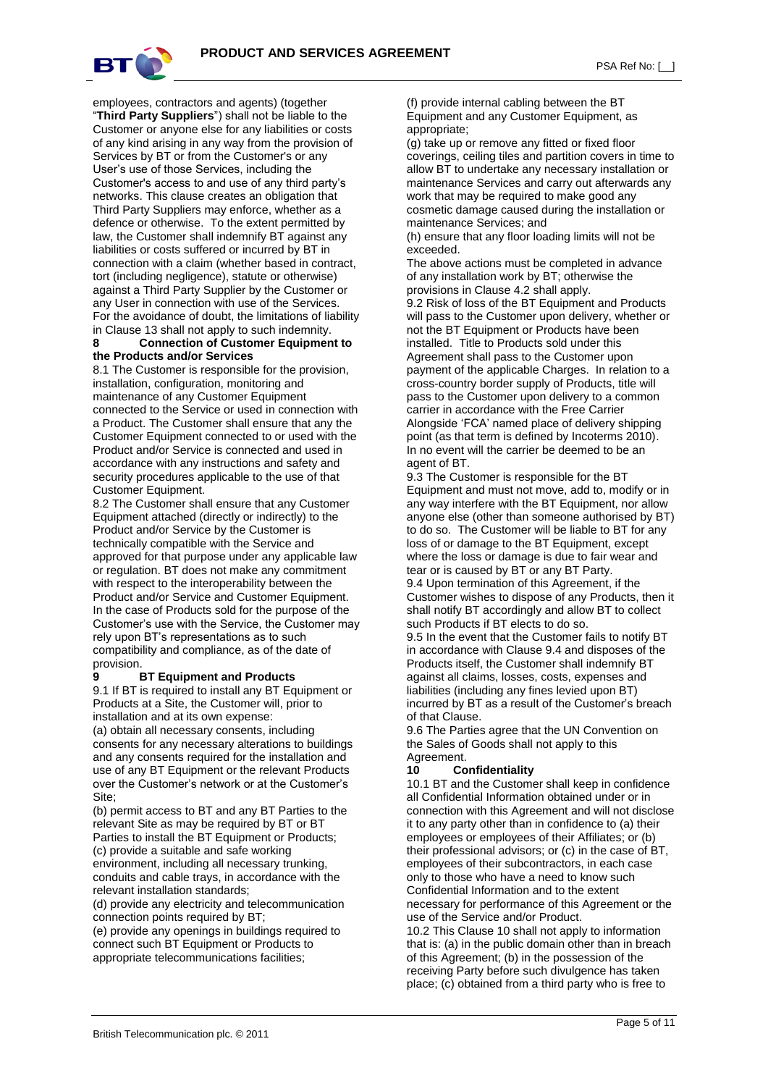

employees, contractors and agents) (together "**Third Party Suppliers**") shall not be liable to the Customer or anyone else for any liabilities or costs of any kind arising in any way from the provision of Services by BT or from the Customer's or any User's use of those Services, including the Customer's access to and use of any third party's

networks. This clause creates an obligation that Third Party Suppliers may enforce, whether as a defence or otherwise. To the extent permitted by law, the Customer shall indemnify BT against any liabilities or costs suffered or incurred by BT in connection with a claim (whether based in contract, tort (including negligence), statute or otherwise) against a Third Party Supplier by the Customer or any User in connection with use of the Services. For the avoidance of doubt, the limitations of liability in Clause 13 shall not apply to such indemnity.

#### **8 Connection of Customer Equipment to the Products and/or Services**

8.1 The Customer is responsible for the provision, installation, configuration, monitoring and maintenance of any Customer Equipment connected to the Service or used in connection with a Product. The Customer shall ensure that any the Customer Equipment connected to or used with the Product and/or Service is connected and used in accordance with any instructions and safety and security procedures applicable to the use of that Customer Equipment.

8.2 The Customer shall ensure that any Customer Equipment attached (directly or indirectly) to the Product and/or Service by the Customer is technically compatible with the Service and approved for that purpose under any applicable law or regulation. BT does not make any commitment with respect to the interoperability between the Product and/or Service and Customer Equipment. In the case of Products sold for the purpose of the Customer's use with the Service, the Customer may rely upon BT's representations as to such compatibility and compliance, as of the date of provision.

#### **9 BT Equipment and Products**

9.1 If BT is required to install any BT Equipment or Products at a Site, the Customer will, prior to installation and at its own expense:

(a) obtain all necessary consents, including consents for any necessary alterations to buildings and any consents required for the installation and use of any BT Equipment or the relevant Products over the Customer's network or at the Customer's Site;

(b) permit access to BT and any BT Parties to the relevant Site as may be required by BT or BT Parties to install the BT Equipment or Products; (c) provide a suitable and safe working environment, including all necessary trunking, conduits and cable trays, in accordance with the relevant installation standards;

(d) provide any electricity and telecommunication connection points required by BT;

(e) provide any openings in buildings required to connect such BT Equipment or Products to appropriate telecommunications facilities;

(f) provide internal cabling between the BT Equipment and any Customer Equipment, as appropriate;

(g) take up or remove any fitted or fixed floor coverings, ceiling tiles and partition covers in time to allow BT to undertake any necessary installation or maintenance Services and carry out afterwards any work that may be required to make good any cosmetic damage caused during the installation or maintenance Services; and

(h) ensure that any floor loading limits will not be exceeded.

The above actions must be completed in advance of any installation work by BT; otherwise the provisions in Clause 4.2 shall apply.

9.2 Risk of loss of the BT Equipment and Products will pass to the Customer upon delivery, whether or not the BT Equipment or Products have been installed. Title to Products sold under this Agreement shall pass to the Customer upon payment of the applicable Charges. In relation to a cross-country border supply of Products, title will pass to the Customer upon delivery to a common carrier in accordance with the Free Carrier Alongside 'FCA' named place of delivery shipping point (as that term is defined by Incoterms 2010). In no event will the carrier be deemed to be an agent of BT.

9.3 The Customer is responsible for the BT Equipment and must not move, add to, modify or in any way interfere with the BT Equipment, nor allow anyone else (other than someone authorised by BT) to do so. The Customer will be liable to BT for any loss of or damage to the BT Equipment, except where the loss or damage is due to fair wear and tear or is caused by BT or any BT Party. 9.4 Upon termination of this Agreement, if the

Customer wishes to dispose of any Products, then it shall notify BT accordingly and allow BT to collect such Products if BT elects to do so.

9.5 In the event that the Customer fails to notify BT in accordance with Clause 9.4 and disposes of the Products itself, the Customer shall indemnify BT against all claims, losses, costs, expenses and liabilities (including any fines levied upon BT) incurred by BT as a result of the Customer's breach of that Clause.

9.6 The Parties agree that the UN Convention on the Sales of Goods shall not apply to this Agreement.

## **10 Confidentiality**

10.1 BT and the Customer shall keep in confidence all Confidential Information obtained under or in connection with this Agreement and will not disclose it to any party other than in confidence to (a) their employees or employees of their Affiliates; or (b) their professional advisors; or (c) in the case of BT, employees of their subcontractors, in each case only to those who have a need to know such Confidential Information and to the extent necessary for performance of this Agreement or the use of the Service and/or Product.

10.2 This Clause 10 shall not apply to information that is: (a) in the public domain other than in breach of this Agreement; (b) in the possession of the receiving Party before such divulgence has taken place; (c) obtained from a third party who is free to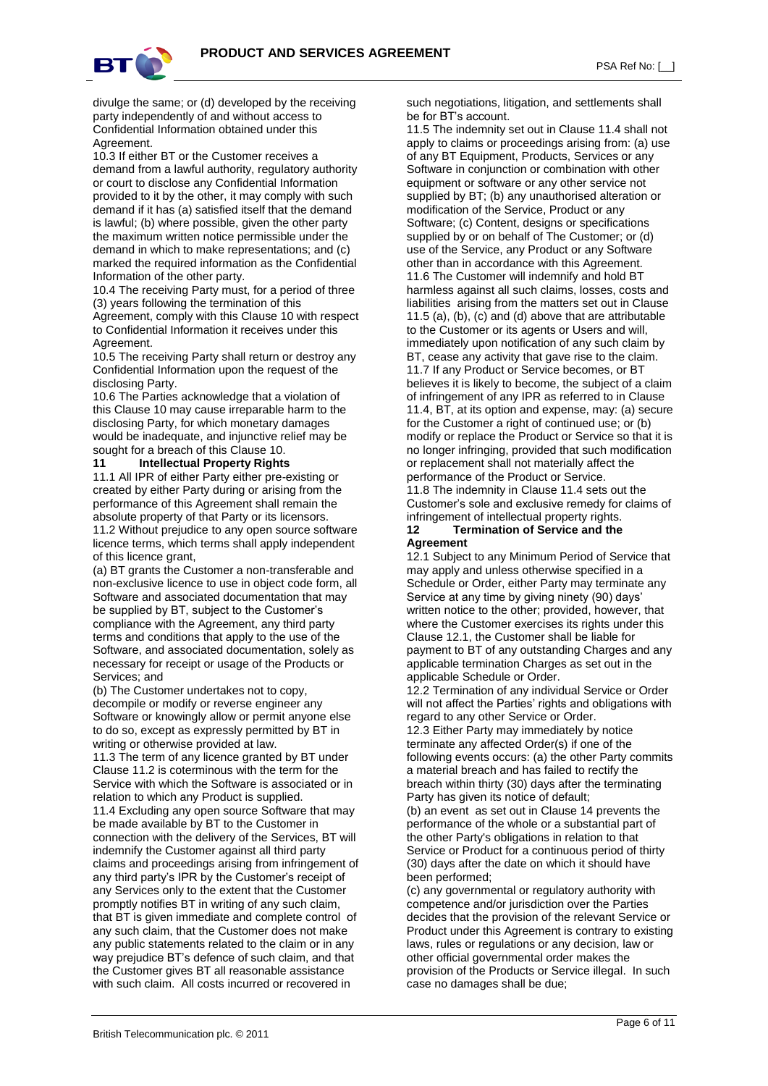

divulge the same; or (d) developed by the receiving party independently of and without access to Confidential Information obtained under this Agreement.

10.3 If either BT or the Customer receives a demand from a lawful authority, regulatory authority or court to disclose any Confidential Information provided to it by the other, it may comply with such demand if it has (a) satisfied itself that the demand is lawful; (b) where possible, given the other party the maximum written notice permissible under the demand in which to make representations; and (c) marked the required information as the Confidential Information of the other party.

10.4 The receiving Party must, for a period of three (3) years following the termination of this Agreement, comply with this Clause 10 with respect

to Confidential Information it receives under this Agreement. 10.5 The receiving Party shall return or destroy any

Confidential Information upon the request of the disclosing Party.

10.6 The Parties acknowledge that a violation of this Clause 10 may cause irreparable harm to the disclosing Party, for which monetary damages would be inadequate, and injunctive relief may be sought for a breach of this Clause 10.

#### **11 Intellectual Property Rights**

11.1 All IPR of either Party either pre-existing or created by either Party during or arising from the performance of this Agreement shall remain the absolute property of that Party or its licensors. 11.2 Without prejudice to any open source software licence terms, which terms shall apply independent of this licence grant,

(a) BT grants the Customer a non-transferable and non-exclusive licence to use in object code form, all Software and associated documentation that may be supplied by BT, subject to the Customer's compliance with the Agreement, any third party terms and conditions that apply to the use of the Software, and associated documentation, solely as necessary for receipt or usage of the Products or Services; and

(b) The Customer undertakes not to copy, decompile or modify or reverse engineer any Software or knowingly allow or permit anyone else to do so, except as expressly permitted by BT in writing or otherwise provided at law.

11.3 The term of any licence granted by BT under Clause 11.2 is coterminous with the term for the Service with which the Software is associated or in relation to which any Product is supplied.

11.4 Excluding any open source Software that may be made available by BT to the Customer in connection with the delivery of the Services, BT will indemnify the Customer against all third party claims and proceedings arising from infringement of any third party's IPR by the Customer's receipt of any Services only to the extent that the Customer promptly notifies BT in writing of any such claim, that BT is given immediate and complete control of any such claim, that the Customer does not make any public statements related to the claim or in any way prejudice BT's defence of such claim, and that the Customer gives BT all reasonable assistance with such claim. All costs incurred or recovered in

such negotiations, litigation, and settlements shall be for BT's account.

11.5 The indemnity set out in Clause 11.4 shall not apply to claims or proceedings arising from: (a) use of any BT Equipment, Products, Services or any Software in conjunction or combination with other equipment or software or any other service not supplied by BT; (b) any unauthorised alteration or modification of the Service, Product or any Software; (c) Content, designs or specifications supplied by or on behalf of The Customer; or (d) use of the Service, any Product or any Software other than in accordance with this Agreement. 11.6 The Customer will indemnify and hold BT harmless against all such claims, losses, costs and liabilities arising from the matters set out in Clause 11.5 (a), (b), (c) and (d) above that are attributable to the Customer or its agents or Users and will, immediately upon notification of any such claim by BT, cease any activity that gave rise to the claim. 11.7 If any Product or Service becomes, or BT believes it is likely to become, the subject of a claim of infringement of any IPR as referred to in Clause 11.4, BT, at its option and expense, may: (a) secure for the Customer a right of continued use; or (b) modify or replace the Product or Service so that it is no longer infringing, provided that such modification or replacement shall not materially affect the performance of the Product or Service. 11.8 The indemnity in Clause 11.4 sets out the

Customer's sole and exclusive remedy for claims of infringement of intellectual property rights. **12 Termination of Service and the** 

# **Agreement**

12.1 Subject to any Minimum Period of Service that may apply and unless otherwise specified in a Schedule or Order, either Party may terminate any Service at any time by giving ninety (90) days' written notice to the other; provided, however, that where the Customer exercises its rights under this Clause 12.1, the Customer shall be liable for payment to BT of any outstanding Charges and any applicable termination Charges as set out in the applicable Schedule or Order.

12.2 Termination of any individual Service or Order will not affect the Parties' rights and obligations with regard to any other Service or Order.

12.3 Either Party may immediately by notice terminate any affected Order(s) if one of the following events occurs: (a) the other Party commits a material breach and has failed to rectify the breach within thirty (30) days after the terminating Party has given its notice of default;

(b) an event as set out in Clause 14 prevents the performance of the whole or a substantial part of the other Party's obligations in relation to that Service or Product for a continuous period of thirty (30) days after the date on which it should have been performed;

(c) any governmental or regulatory authority with competence and/or jurisdiction over the Parties decides that the provision of the relevant Service or Product under this Agreement is contrary to existing laws, rules or regulations or any decision, law or other official governmental order makes the provision of the Products or Service illegal. In such case no damages shall be due;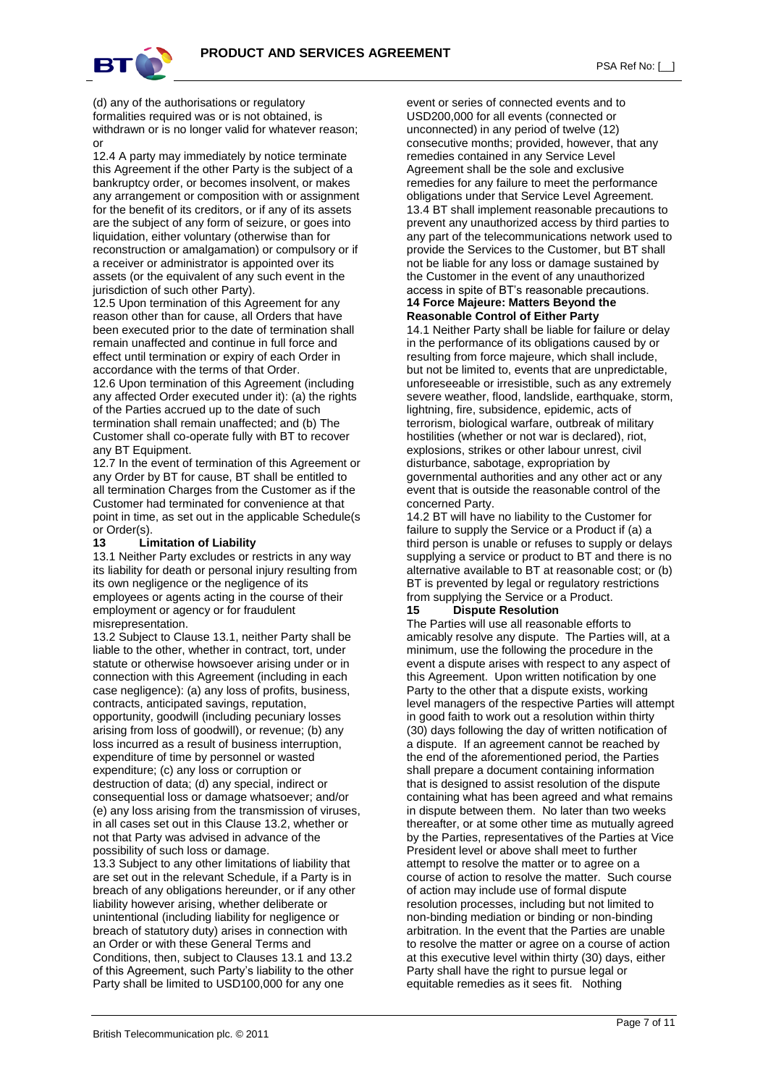

(d) any of the authorisations or regulatory formalities required was or is not obtained, is withdrawn or is no longer valid for whatever reason; or

12.4 A party may immediately by notice terminate this Agreement if the other Party is the subject of a bankruptcy order, or becomes insolvent, or makes any arrangement or composition with or assignment for the benefit of its creditors, or if any of its assets are the subject of any form of seizure, or goes into liquidation, either voluntary (otherwise than for reconstruction or amalgamation) or compulsory or if a receiver or administrator is appointed over its assets (or the equivalent of any such event in the jurisdiction of such other Party).

12.5 Upon termination of this Agreement for any reason other than for cause, all Orders that have been executed prior to the date of termination shall remain unaffected and continue in full force and effect until termination or expiry of each Order in accordance with the terms of that Order.

12.6 Upon termination of this Agreement (including any affected Order executed under it): (a) the rights of the Parties accrued up to the date of such termination shall remain unaffected; and (b) The Customer shall co-operate fully with BT to recover any BT Equipment.

12.7 In the event of termination of this Agreement or any Order by BT for cause, BT shall be entitled to all termination Charges from the Customer as if the Customer had terminated for convenience at that point in time, as set out in the applicable Schedule(s or Order(s).

#### **13 Limitation of Liability**

13.1 Neither Party excludes or restricts in any way its liability for death or personal injury resulting from its own negligence or the negligence of its employees or agents acting in the course of their employment or agency or for fraudulent misrepresentation.

13.2 Subject to Clause 13.1, neither Party shall be liable to the other, whether in contract, tort, under statute or otherwise howsoever arising under or in connection with this Agreement (including in each case negligence): (a) any loss of profits, business, contracts, anticipated savings, reputation, opportunity, goodwill (including pecuniary losses arising from loss of goodwill), or revenue; (b) any loss incurred as a result of business interruption, expenditure of time by personnel or wasted expenditure; (c) any loss or corruption or destruction of data; (d) any special, indirect or consequential loss or damage whatsoever; and/or (e) any loss arising from the transmission of viruses, in all cases set out in this Clause 13.2, whether or not that Party was advised in advance of the possibility of such loss or damage.

13.3 Subject to any other limitations of liability that are set out in the relevant Schedule, if a Party is in breach of any obligations hereunder, or if any other liability however arising, whether deliberate or unintentional (including liability for negligence or breach of statutory duty) arises in connection with an Order or with these General Terms and Conditions, then, subject to Clauses 13.1 and 13.2 of this Agreement, such Party's liability to the other Party shall be limited to USD100,000 for any one

event or series of connected events and to USD200,000 for all events (connected or unconnected) in any period of twelve (12) consecutive months; provided, however, that any remedies contained in any Service Level Agreement shall be the sole and exclusive remedies for any failure to meet the performance obligations under that Service Level Agreement. 13.4 BT shall implement reasonable precautions to prevent any unauthorized access by third parties to any part of the telecommunications network used to provide the Services to the Customer, but BT shall not be liable for any loss or damage sustained by the Customer in the event of any unauthorized access in spite of BT's reasonable precautions. **14 Force Majeure: Matters Beyond the** 

# **Reasonable Control of Either Party**

14.1 Neither Party shall be liable for failure or delay in the performance of its obligations caused by or resulting from force majeure, which shall include, but not be limited to, events that are unpredictable, unforeseeable or irresistible, such as any extremely severe weather, flood, landslide, earthquake, storm, lightning, fire, subsidence, epidemic, acts of terrorism, biological warfare, outbreak of military hostilities (whether or not war is declared), riot, explosions, strikes or other labour unrest, civil disturbance, sabotage, expropriation by governmental authorities and any other act or any event that is outside the reasonable control of the concerned Party.

14.2 BT will have no liability to the Customer for failure to supply the Service or a Product if (a) a third person is unable or refuses to supply or delays supplying a service or product to BT and there is no alternative available to BT at reasonable cost; or (b) BT is prevented by legal or regulatory restrictions from supplying the Service or a Product.

#### **15 Dispute Resolution**

The Parties will use all reasonable efforts to amicably resolve any dispute. The Parties will, at a minimum, use the following the procedure in the event a dispute arises with respect to any aspect of this Agreement. Upon written notification by one Party to the other that a dispute exists, working level managers of the respective Parties will attempt in good faith to work out a resolution within thirty (30) days following the day of written notification of a dispute. If an agreement cannot be reached by the end of the aforementioned period, the Parties shall prepare a document containing information that is designed to assist resolution of the dispute containing what has been agreed and what remains in dispute between them. No later than two weeks thereafter, or at some other time as mutually agreed by the Parties, representatives of the Parties at Vice President level or above shall meet to further attempt to resolve the matter or to agree on a course of action to resolve the matter. Such course of action may include use of formal dispute resolution processes, including but not limited to non-binding mediation or binding or non-binding arbitration. In the event that the Parties are unable to resolve the matter or agree on a course of action at this executive level within thirty (30) days, either Party shall have the right to pursue legal or equitable remedies as it sees fit. Nothing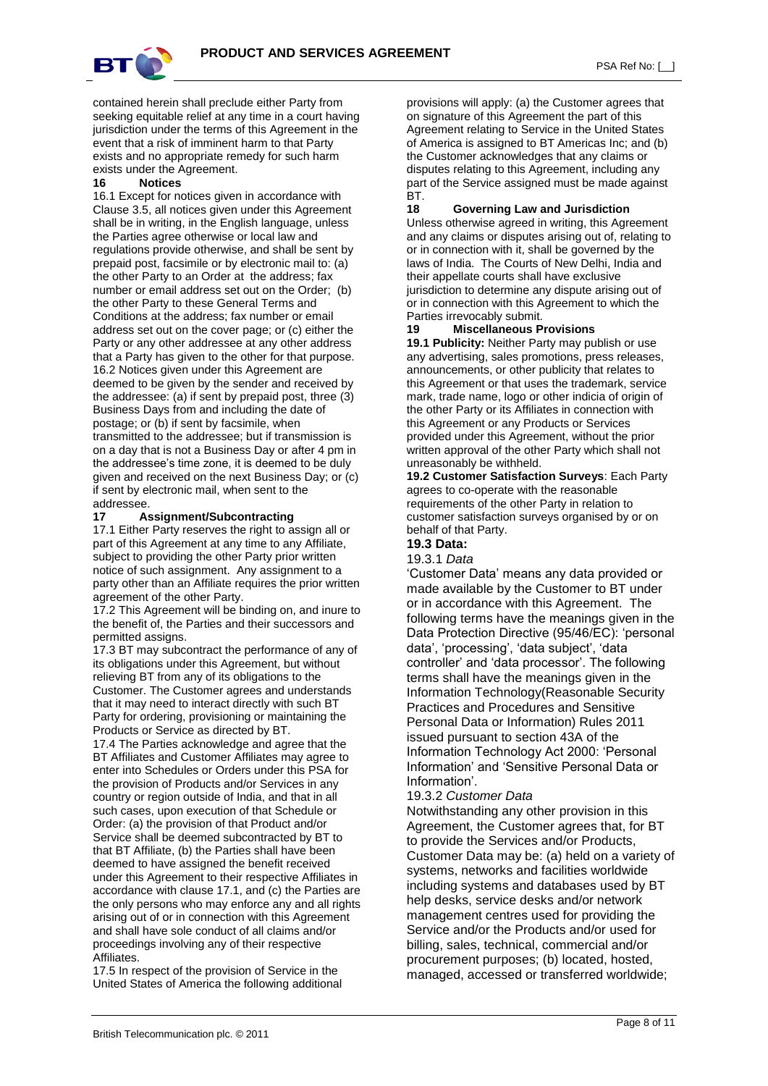

contained herein shall preclude either Party from seeking equitable relief at any time in a court having jurisdiction under the terms of this Agreement in the event that a risk of imminent harm to that Party exists and no appropriate remedy for such harm exists under the Agreement.

#### **16 Notices**

16.1 Except for notices given in accordance with Clause 3.5, all notices given under this Agreement shall be in writing, in the English language, unless the Parties agree otherwise or local law and regulations provide otherwise, and shall be sent by prepaid post, facsimile or by electronic mail to: (a) the other Party to an Order at the address; fax number or email address set out on the Order; (b) the other Party to these General Terms and Conditions at the address; fax number or email address set out on the cover page; or (c) either the Party or any other addressee at any other address that a Party has given to the other for that purpose. 16.2 Notices given under this Agreement are deemed to be given by the sender and received by the addressee: (a) if sent by prepaid post, three (3) Business Days from and including the date of postage; or (b) if sent by facsimile, when transmitted to the addressee; but if transmission is on a day that is not a Business Day or after 4 pm in the addressee's time zone, it is deemed to be duly given and received on the next Business Day; or (c) if sent by electronic mail, when sent to the addressee.

#### **17 Assignment/Subcontracting**

17.1 Either Party reserves the right to assign all or part of this Agreement at any time to any Affiliate, subject to providing the other Party prior written notice of such assignment. Any assignment to a party other than an Affiliate requires the prior written agreement of the other Party.

17.2 This Agreement will be binding on, and inure to the benefit of, the Parties and their successors and permitted assigns.

17.3 BT may subcontract the performance of any of its obligations under this Agreement, but without relieving BT from any of its obligations to the Customer. The Customer agrees and understands that it may need to interact directly with such BT Party for ordering, provisioning or maintaining the Products or Service as directed by BT.

17.4 The Parties acknowledge and agree that the BT Affiliates and Customer Affiliates may agree to enter into Schedules or Orders under this PSA for the provision of Products and/or Services in any country or region outside of India, and that in all such cases, upon execution of that Schedule or Order: (a) the provision of that Product and/or Service shall be deemed subcontracted by BT to that BT Affiliate, (b) the Parties shall have been deemed to have assigned the benefit received under this Agreement to their respective Affiliates in accordance with clause 17.1, and (c) the Parties are the only persons who may enforce any and all rights arising out of or in connection with this Agreement and shall have sole conduct of all claims and/or proceedings involving any of their respective Affiliates.

17.5 In respect of the provision of Service in the United States of America the following additional provisions will apply: (a) the Customer agrees that on signature of this Agreement the part of this Agreement relating to Service in the United States of America is assigned to BT Americas Inc; and (b) the Customer acknowledges that any claims or disputes relating to this Agreement, including any part of the Service assigned must be made against BT.

#### **18 Governing Law and Jurisdiction**

Unless otherwise agreed in writing, this Agreement and any claims or disputes arising out of, relating to or in connection with it, shall be governed by the laws of India. The Courts of New Delhi, India and their appellate courts shall have exclusive jurisdiction to determine any dispute arising out of or in connection with this Agreement to which the Parties irrevocably submit.

#### **19 Miscellaneous Provisions**

**19.1 Publicity:** Neither Party may publish or use any advertising, sales promotions, press releases, announcements, or other publicity that relates to this Agreement or that uses the trademark, service mark, trade name, logo or other indicia of origin of the other Party or its Affiliates in connection with this Agreement or any Products or Services provided under this Agreement, without the prior written approval of the other Party which shall not unreasonably be withheld.

**19.2 Customer Satisfaction Surveys**: Each Party agrees to co-operate with the reasonable requirements of the other Party in relation to customer satisfaction surveys organised by or on behalf of that Party.

# **19.3 Data:**

#### 19.3.1 *Data*

'Customer Data' means any data provided or made available by the Customer to BT under or in accordance with this Agreement. The following terms have the meanings given in the Data Protection Directive (95/46/EC): 'personal data', 'processing', 'data subject', 'data controller' and 'data processor'. The following terms shall have the meanings given in the Information Technology(Reasonable Security Practices and Procedures and Sensitive Personal Data or Information) Rules 2011 issued pursuant to section 43A of the Information Technology Act 2000: 'Personal Information' and 'Sensitive Personal Data or Information'.

## 19.3.2 *Customer Data*

Notwithstanding any other provision in this Agreement, the Customer agrees that, for BT to provide the Services and/or Products, Customer Data may be: (a) held on a variety of systems, networks and facilities worldwide including systems and databases used by BT help desks, service desks and/or network management centres used for providing the Service and/or the Products and/or used for billing, sales, technical, commercial and/or procurement purposes; (b) located, hosted, managed, accessed or transferred worldwide;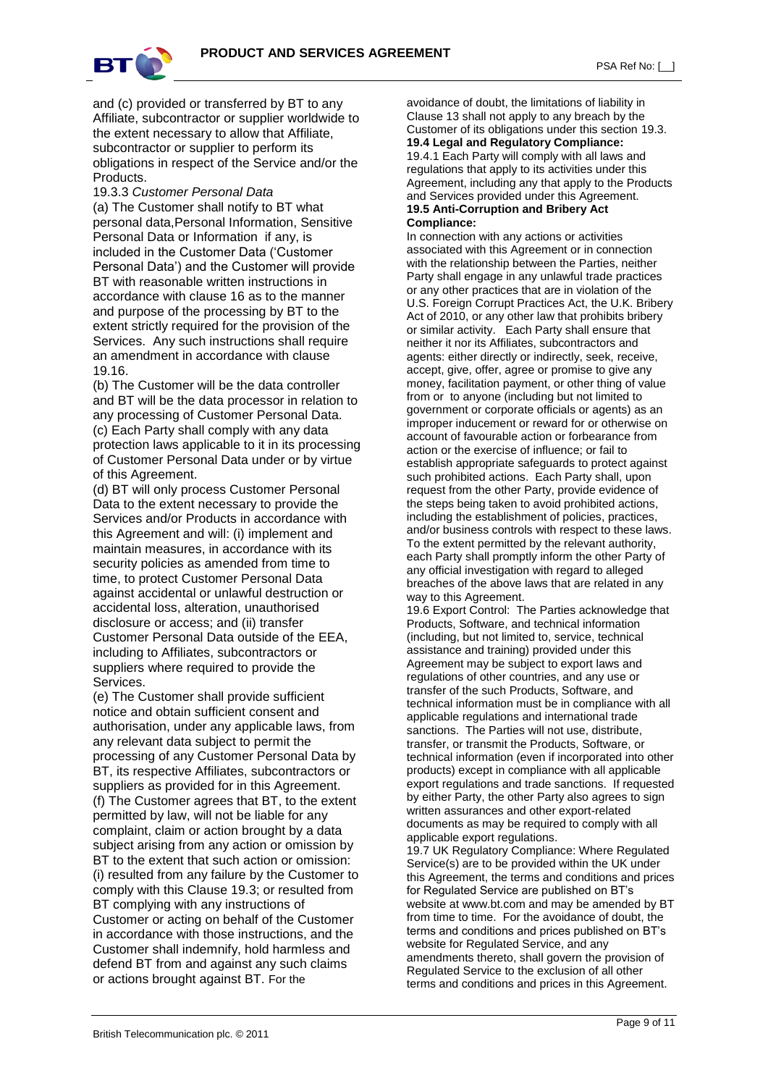



and (c) provided or transferred by BT to any Affiliate, subcontractor or supplier worldwide to the extent necessary to allow that Affiliate, subcontractor or supplier to perform its obligations in respect of the Service and/or the **Products** 

19.3.3 *Customer Personal Data* (a) The Customer shall notify to BT what personal data,Personal Information, Sensitive Personal Data or Information if any, is included in the Customer Data ('Customer Personal Data') and the Customer will provide BT with reasonable written instructions in accordance with clause 16 as to the manner and purpose of the processing by BT to the extent strictly required for the provision of the Services. Any such instructions shall require an amendment in accordance with clause 19.16.

(b) The Customer will be the data controller and BT will be the data processor in relation to any processing of Customer Personal Data. (c) Each Party shall comply with any data protection laws applicable to it in its processing of Customer Personal Data under or by virtue of this Agreement.

(d) BT will only process Customer Personal Data to the extent necessary to provide the Services and/or Products in accordance with this Agreement and will: (i) implement and maintain measures, in accordance with its security policies as amended from time to time, to protect Customer Personal Data against accidental or unlawful destruction or accidental loss, alteration, unauthorised disclosure or access; and (ii) transfer Customer Personal Data outside of the EEA, including to Affiliates, subcontractors or suppliers where required to provide the Services.

(e) The Customer shall provide sufficient notice and obtain sufficient consent and authorisation, under any applicable laws, from any relevant data subject to permit the processing of any Customer Personal Data by BT, its respective Affiliates, subcontractors or suppliers as provided for in this Agreement. (f) The Customer agrees that BT, to the extent permitted by law, will not be liable for any complaint, claim or action brought by a data subject arising from any action or omission by BT to the extent that such action or omission: (i) resulted from any failure by the Customer to comply with this Clause 19.3; or resulted from BT complying with any instructions of Customer or acting on behalf of the Customer in accordance with those instructions, and the Customer shall indemnify, hold harmless and defend BT from and against any such claims or actions brought against BT. For the

avoidance of doubt, the limitations of liability in Clause 13 shall not apply to any breach by the Customer of its obligations under this section 19.3. **19.4 Legal and Regulatory Compliance:**  19.4.1 Each Party will comply with all laws and regulations that apply to its activities under this Agreement, including any that apply to the Products and Services provided under this Agreement. **19.5 Anti-Corruption and Bribery Act** 

# **Compliance:**

In connection with any actions or activities associated with this Agreement or in connection with the relationship between the Parties, neither Party shall engage in any unlawful trade practices or any other practices that are in violation of the U.S. Foreign Corrupt Practices Act, the U.K. Bribery Act of 2010, or any other law that prohibits bribery or similar activity. Each Party shall ensure that neither it nor its Affiliates, subcontractors and agents: either directly or indirectly, seek, receive, accept, give, offer, agree or promise to give any money, facilitation payment, or other thing of value from or to anyone (including but not limited to government or corporate officials or agents) as an improper inducement or reward for or otherwise on account of favourable action or forbearance from action or the exercise of influence; or fail to establish appropriate safeguards to protect against such prohibited actions. Each Party shall, upon request from the other Party, provide evidence of the steps being taken to avoid prohibited actions, including the establishment of policies, practices, and/or business controls with respect to these laws. To the extent permitted by the relevant authority, each Party shall promptly inform the other Party of any official investigation with regard to alleged breaches of the above laws that are related in any way to this Agreement.

19.6 Export Control: The Parties acknowledge that Products, Software, and technical information (including, but not limited to, service, technical assistance and training) provided under this Agreement may be subject to export laws and regulations of other countries, and any use or transfer of the such Products, Software, and technical information must be in compliance with all applicable regulations and international trade sanctions. The Parties will not use, distribute, transfer, or transmit the Products, Software, or technical information (even if incorporated into other products) except in compliance with all applicable export regulations and trade sanctions. If requested by either Party, the other Party also agrees to sign written assurances and other export-related documents as may be required to comply with all applicable export regulations.

19.7 UK Regulatory Compliance: Where Regulated Service(s) are to be provided within the UK under this Agreement, the terms and conditions and prices for Regulated Service are published on BT's website at www.bt.com and may be amended by BT from time to time. For the avoidance of doubt, the terms and conditions and prices published on BT's website for Regulated Service, and any amendments thereto, shall govern the provision of Regulated Service to the exclusion of all other terms and conditions and prices in this Agreement.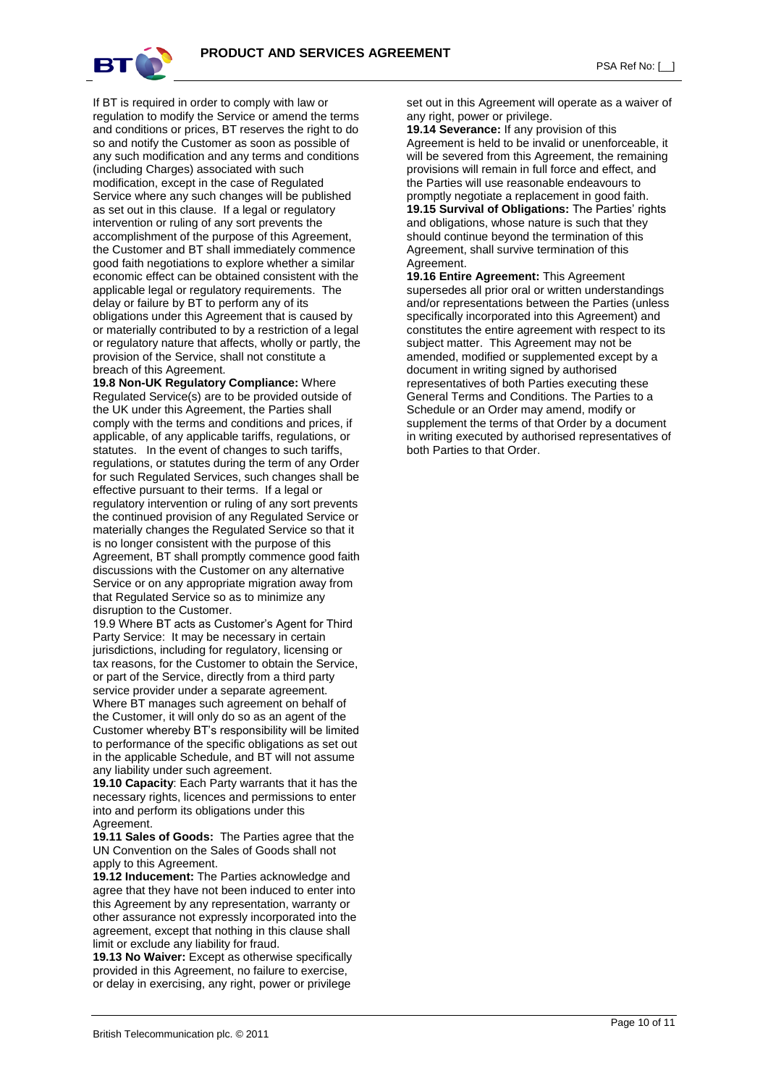

If BT is required in order to comply with law or regulation to modify the Service or amend the terms and conditions or prices, BT reserves the right to do so and notify the Customer as soon as possible of any such modification and any terms and conditions (including Charges) associated with such modification, except in the case of Regulated Service where any such changes will be published as set out in this clause. If a legal or regulatory intervention or ruling of any sort prevents the accomplishment of the purpose of this Agreement, the Customer and BT shall immediately commence good faith negotiations to explore whether a similar economic effect can be obtained consistent with the applicable legal or regulatory requirements. The delay or failure by BT to perform any of its obligations under this Agreement that is caused by or materially contributed to by a restriction of a legal or regulatory nature that affects, wholly or partly, the provision of the Service, shall not constitute a breach of this Agreement.

**19.8 Non-UK Regulatory Compliance:** Where Regulated Service(s) are to be provided outside of the UK under this Agreement, the Parties shall comply with the terms and conditions and prices, if applicable, of any applicable tariffs, regulations, or statutes. In the event of changes to such tariffs, regulations, or statutes during the term of any Order for such Regulated Services, such changes shall be effective pursuant to their terms. If a legal or regulatory intervention or ruling of any sort prevents the continued provision of any Regulated Service or materially changes the Regulated Service so that it is no longer consistent with the purpose of this Agreement, BT shall promptly commence good faith discussions with the Customer on any alternative Service or on any appropriate migration away from that Regulated Service so as to minimize any disruption to the Customer.

19.9 Where BT acts as Customer's Agent for Third Party Service: It may be necessary in certain jurisdictions, including for regulatory, licensing or tax reasons, for the Customer to obtain the Service, or part of the Service, directly from a third party service provider under a separate agreement. Where BT manages such agreement on behalf of the Customer, it will only do so as an agent of the Customer whereby BT's responsibility will be limited to performance of the specific obligations as set out in the applicable Schedule, and BT will not assume any liability under such agreement.

**19.10 Capacity**: Each Party warrants that it has the necessary rights, licences and permissions to enter into and perform its obligations under this Agreement.

**19.11 Sales of Goods:** The Parties agree that the UN Convention on the Sales of Goods shall not apply to this Agreement.

**19.12 Inducement:** The Parties acknowledge and agree that they have not been induced to enter into this Agreement by any representation, warranty or other assurance not expressly incorporated into the agreement, except that nothing in this clause shall limit or exclude any liability for fraud.

**19.13 No Waiver:** Except as otherwise specifically provided in this Agreement, no failure to exercise, or delay in exercising, any right, power or privilege

set out in this Agreement will operate as a waiver of any right, power or privilege.

**19.14 Severance:** If any provision of this Agreement is held to be invalid or unenforceable, it will be severed from this Agreement, the remaining provisions will remain in full force and effect, and the Parties will use reasonable endeavours to promptly negotiate a replacement in good faith. **19.15 Survival of Obligations:** The Parties' rights and obligations, whose nature is such that they should continue beyond the termination of this Agreement, shall survive termination of this Agreement.

**19.16 Entire Agreement:** This Agreement supersedes all prior oral or written understandings and/or representations between the Parties (unless specifically incorporated into this Agreement) and constitutes the entire agreement with respect to its subject matter. This Agreement may not be amended, modified or supplemented except by a document in writing signed by authorised representatives of both Parties executing these General Terms and Conditions. The Parties to a Schedule or an Order may amend, modify or supplement the terms of that Order by a document in writing executed by authorised representatives of both Parties to that Order.